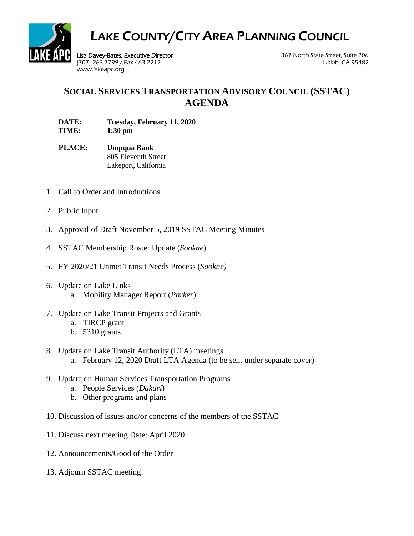

## LAKE COUNTY/CITY AREA PLANNING COUNCIL

Lisa Davey-Bates, Executive Director 367 North State Street, Suite 206 (707) 263-7799 / Fax 463-2212 Ukiah, CA 95482 [www.lakeapc.org](http://www.lakeapc.org/)

## **SOCIAL SERVICES TRANSPORTATION ADVISORY COUNCIL (SSTAC) AGENDA**

**DATE: Tuesday, February 11, 2020 TIME: 1:30 pm** 

- **PLACE: Umpqua Bank** 805 Eleventh Street Lakeport, California
- 1. Call to Order and Introductions
- 2. Public Input
- 3. Approval of Draft November 5, 2019 SSTAC Meeting Minutes
- 4. SSTAC Membership Roster Update (*Sookne*)
- 5. FY 2020/21 Unmet Transit Needs Process (*Sookne)*
- 6. Update on Lake Links a. Mobility Manager Report (*Parker*)
- 7. Update on Lake Transit Projects and Grants
	- a. TIRCP grant
	- b. 5310 grants
- 8. Update on Lake Transit Authority (LTA) meetings a. February 12, 2020 Draft LTA Agenda (to be sent under separate cover)
- 9. Update on Human Services Transportation Programs
	- a. People Services (*Dakari*)
	- b. Other programs and plans
- 10. Discussion of issues and/or concerns of the members of the SSTAC
- 11. Discuss next meeting Date: April 2020
- 12. Announcements/Good of the Order
- 13. Adjourn SSTAC meeting